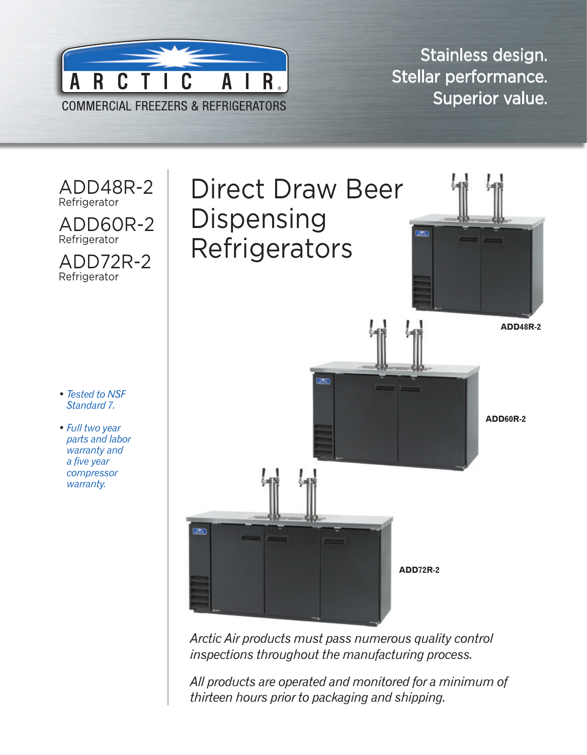

Stainless design. Stellar performance. Superior value.



*Arctic Air products must pass numerous quality control inspections throughout the manufacturing process.* 

*All products are operated and monitored for a minimum of thirteen hours prior to packaging and shipping.*